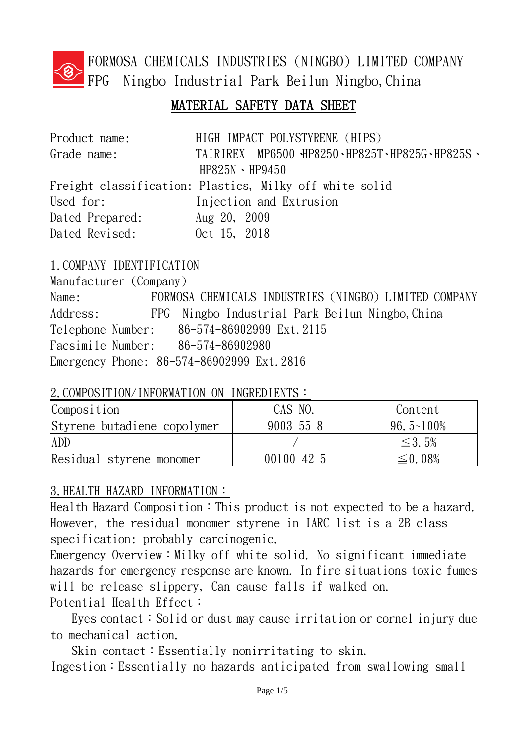

FORMOSA CHEMICALS INDUSTRIES (NINGBO) LIMITED COMPANY FPG Ningbo Industrial Park Beilun Ningbo,China

# MATERIAL SAFETY DATA SHEET

| Product name:   | HIGH IMPACT POLYSTYRENE (HIPS)                          |
|-----------------|---------------------------------------------------------|
| Grade name:     | TAIRIREX MP6500 HP8250 · HP825T · HP825G · HP825S ·     |
|                 | $HP825N \cdot HP9450$                                   |
|                 | Freight classification: Plastics, Milky off-white solid |
| Used for:       | Injection and Extrusion                                 |
| Dated Prepared: | Aug 20, 2009                                            |
| Dated Revised:  | Oct 15, 2018                                            |

# 1.COMPANY IDENTIFICATION

Manufacturer (Company) Name: FORMOSA CHEMICALS INDUSTRIES (NINGBO) LIMITED COMPANY Address: FPG Ningbo Industrial Park Beilun Ningbo, China Telephone Number: 86-574-86902999 Ext.2115 Facsimile Number: 86-574-86902980 Emergency Phone: 86-574-86902999 Ext.2816

# 2. COMPOSITION/INFORMATION ON INGREDIENTS:

| Composition                 | CAS NO.          | Content        |
|-----------------------------|------------------|----------------|
| Styrene-butadiene copolymer | $9003 - 55 - 8$  | $96.5 - 100\%$ |
| <b>ADD</b>                  |                  | $\leq$ 3.5%    |
| Residual styrene monomer    | $00100 - 42 - 5$ | $\leq$ 0.08%   |

# 3.HEALTH HAZARD INFORMATION:

Health Hazard Composition: This product is not expected to be a hazard. However, the residual monomer styrene in IARC list is a 2B-class specification: probably carcinogenic.

Emergency Overview: Milky off-white solid. No significant immediate hazards for emergency response are known. In fire situations toxic fumes will be release slippery, Can cause falls if walked on. Potential Health Effect:

Eyes contact: Solid or dust may cause irritation or cornel injury due to mechanical action.

Skin contact: Essentially nonirritating to skin. Ingestion:Essentially no hazards anticipated from swallowing small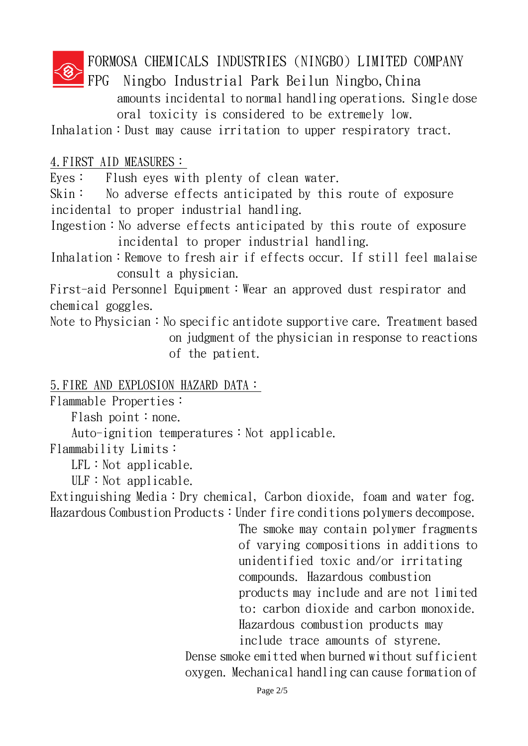FORMOSA CHEMICALS INDUSTRIES (NINGBO) LIMITED COMPANY

FPG Ningbo Industrial Park Beilun Ningbo,China amounts incidental to normal handling operations. Single dose oral toxicity is considered to be extremely low.

Inhalation: Dust may cause irritation to upper respiratory tract.

# 4.FIRST AID MEASURES:

Eyes: Flush eyes with plenty of clean water.

Skin: No adverse effects anticipated by this route of exposure incidental to proper industrial handling.

Ingestion: No adverse effects anticipated by this route of exposure incidental to proper industrial handling.

Inhalation: Remove to fresh air if effects occur. If still feel malaise consult a physician.

First-aid Personnel Equipment: Wear an approved dust respirator and chemical goggles.

Note to Physician: No specific antidote supportive care. Treatment based on judgment of the physician in response to reactions of the patient.

# 5.FIRE AND EXPLOSION HAZARD DATA:

Flammable Properties:

Flash point: none.

Auto-ignition temperatures: Not applicable.

Flammability Limits:

 $LFL:Not applicable.$ 

ULF: Not applicable.

Extinguishing Media: Dry chemical, Carbon dioxide, foam and water fog. Hazardous Combustion Products: Under fire conditions polymers decompose.

The smoke may contain polymer fragments of varying compositions in additions to unidentified toxic and/or irritating compounds. Hazardous combustion products may include and are not limited to: carbon dioxide and carbon monoxide. Hazardous combustion products may include trace amounts of styrene.

Dense smoke emitted when burned without sufficient oxygen. Mechanical handling can cause formation of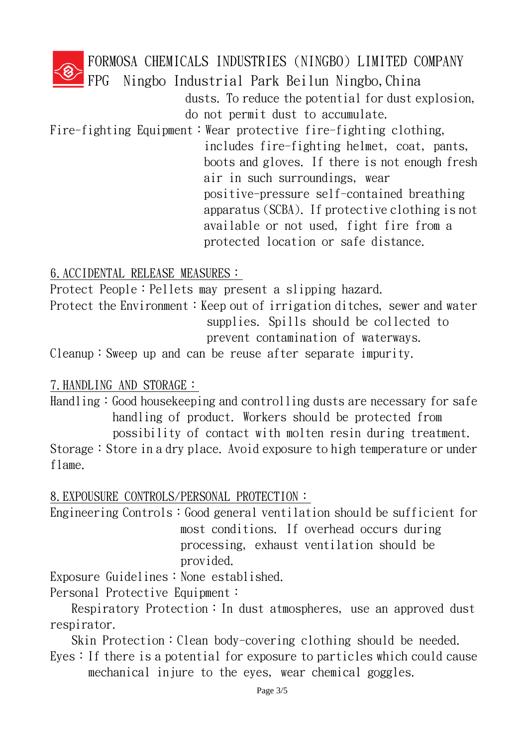FORMOSA CHEMICALS INDUSTRIES (NINGBO) LIMITED COMPANY

FPG Ningbo Industrial Park Beilun Ningbo,China

dusts. To reduce the potential for dust explosion, do not permit dust to accumulate.

Fire-fighting Equipment:Wear protective fire-fighting clothing,

includes fire-fighting helmet, coat, pants, boots and gloves. If there is not enough fresh air in such surroundings, wear positive-pressure self-contained breathing apparatus (SCBA). If protective clothing is not available or not used, fight fire from a protected location or safe distance.

6.ACCIDENTAL RELEASE MEASURES:

Protect People: Pellets may present a slipping hazard.

Protect the Environment: Keep out of irrigation ditches, sewer and water supplies. Spills should be collected to prevent contamination of waterways.

Cleanup:Sweep up and can be reuse after separate impurity.

# 7.HANDLING AND STORAGE:

Handling: Good house keeping and controlling dusts are necessary for safe handling of product. Workers should be protected from possibility of contact with molten resin during treatment.

Storage: Store in a dry place. Avoid exposure to high temperature or under flame.

8.EXPOUSURE CONTROLS/PERSONAL PROTECTION:

Engineering Controls: Good general ventilation should be sufficient for most conditions. If overhead occurs during processing, exhaust ventilation should be provided.

Exposure Guidelines: None established.

Personal Protective Equipment:

Respiratory Protection: In dust atmospheres, use an approved dust respirator.

Skin Protection: Clean body-covering clothing should be needed.

Eyes: If there is a potential for exposure to particles which could cause mechanical injure to the eyes, wear chemical goggles.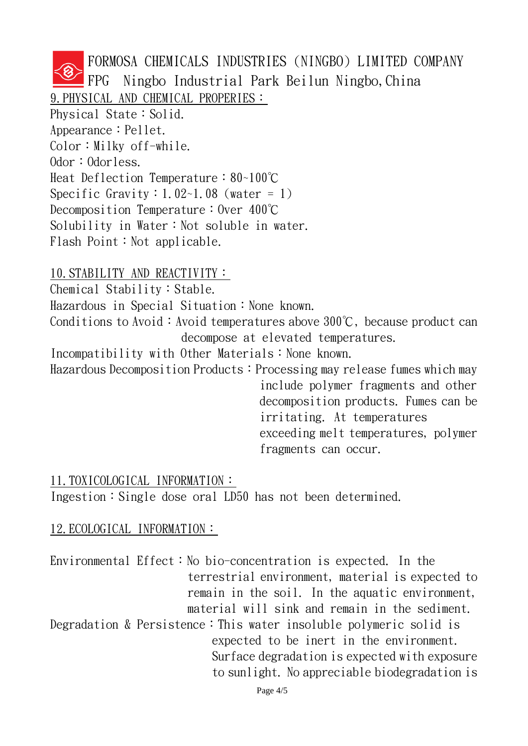FORMOSA CHEMICALS INDUSTRIES (NINGBO) LIMITED COMPANY FPG Ningbo Industrial Park Beilun Ningbo,China 9. PHYSICAL AND CHEMICAL PROPERIES: Physical State: Solid. Appearance: Pellet.  $Color: Milky$  of f-while. Odor: Odorless. Heat Deflection Temperature:80~100℃ Specific Gravity:  $1.02 - 1.08$  (water = 1) Decomposition Temperature: Over 400℃ Solubility in Water: Not soluble in water. Flash Point: Not applicable.

#### 10.STABILITY AND REACTIVITY:

Chemical Stability: Stable.

Hazardous in Special Situation: None known.

Conditions to Avoid: Avoid temperatures above  $300^{\circ}$ C, because product can decompose at elevated temperatures.

Incompatibility with Other Materials: None known.

Hazardous Decomposition Products: Processing may release fumes which may include polymer fragments and other

decomposition products. Fumes can be irritating. At temperatures exceeding melt temperatures, polymer fragments can occur.

#### 11.TOXICOLOGICAL INFORMATION:

Ingestion: Single dose oral LD50 has not been determined.

# 12. ECOLOGICAL INFORMATION:

Environmental Effect: No bio-concentration is expected. In the terrestrial environment, material is expected to remain in the soil. In the aquatic environment, material will sink and remain in the sediment. Degradation & Persistence: This water insoluble polymeric solid is expected to be inert in the environment. Surface degradation is expected with exposure to sunlight. No appreciable biodegradation is